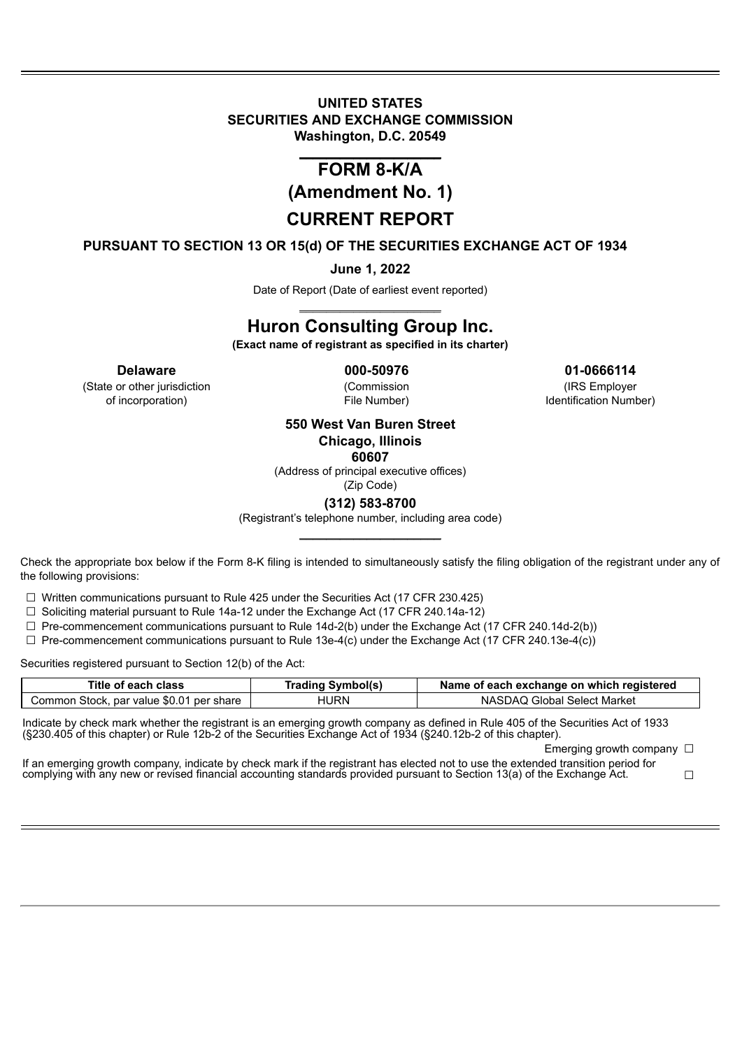# **UNITED STATES SECURITIES AND EXCHANGE COMMISSION Washington, D.C. 20549**

# \_\_\_\_\_\_\_\_\_\_\_\_\_\_\_\_\_\_\_\_\_ **FORM 8-K/A**

**(Amendment No. 1)**

# **CURRENT REPORT**

**PURSUANT TO SECTION 13 OR 15(d) OF THE SECURITIES EXCHANGE ACT OF 1934**

# **June 1, 2022**

Date of Report (Date of earliest event reported) \_\_\_\_\_\_\_\_\_\_\_\_\_\_\_\_\_\_\_\_\_

# **Huron Consulting Group Inc.**

**(Exact name of registrant as specified in its charter)**

(State or other jurisdiction (Commission (IRS Employer

**Delaware 000-50976 01-0666114**

of incorporation) File Number) Identification Number)

# **550 West Van Buren Street Chicago, Illinois**

**60607**

(Address of principal executive offices)

#### (Zip Code) **(312) 583-8700**

(Registrant's telephone number, including area code) \_\_\_\_\_\_\_\_\_\_\_\_\_\_\_\_\_\_\_\_\_

Check the appropriate box below if the Form 8-K filing is intended to simultaneously satisfy the filing obligation of the registrant under any of the following provisions:

 $\Box$  Written communications pursuant to Rule 425 under the Securities Act (17 CFR 230.425)

 $\Box$  Soliciting material pursuant to Rule 14a-12 under the Exchange Act (17 CFR 240.14a-12)

 $\Box$  Pre-commencement communications pursuant to Rule 14d-2(b) under the Exchange Act (17 CFR 240.14d-2(b))

 $\Box$  Pre-commencement communications pursuant to Rule 13e-4(c) under the Exchange Act (17 CFR 240.13e-4(c))

Securities registered pursuant to Section 12(b) of the Act:

| Title of each class                      | <b>Trading Symbol(s)</b> | Name of each exchange on which registered |
|------------------------------------------|--------------------------|-------------------------------------------|
| Common Stock, par value \$0.01 per share | HURN                     | NASDAQ Global Select Market               |

Indicate by check mark whether the registrant is an emerging growth company as defined in Rule 405 of the Securities Act of 1933 (§230.405 of this chapter) or Rule 12b-2 of the Securities Exchange Act of 1934 (§240.12b-2 of this chapter).

Emerging growth company □

If an emerging growth company, indicate by check mark if the registrant has elected not to use the extended transition period for complying with any new or revised financial accounting standards provided pursuant to Section 13(a) of the Exchange Act. □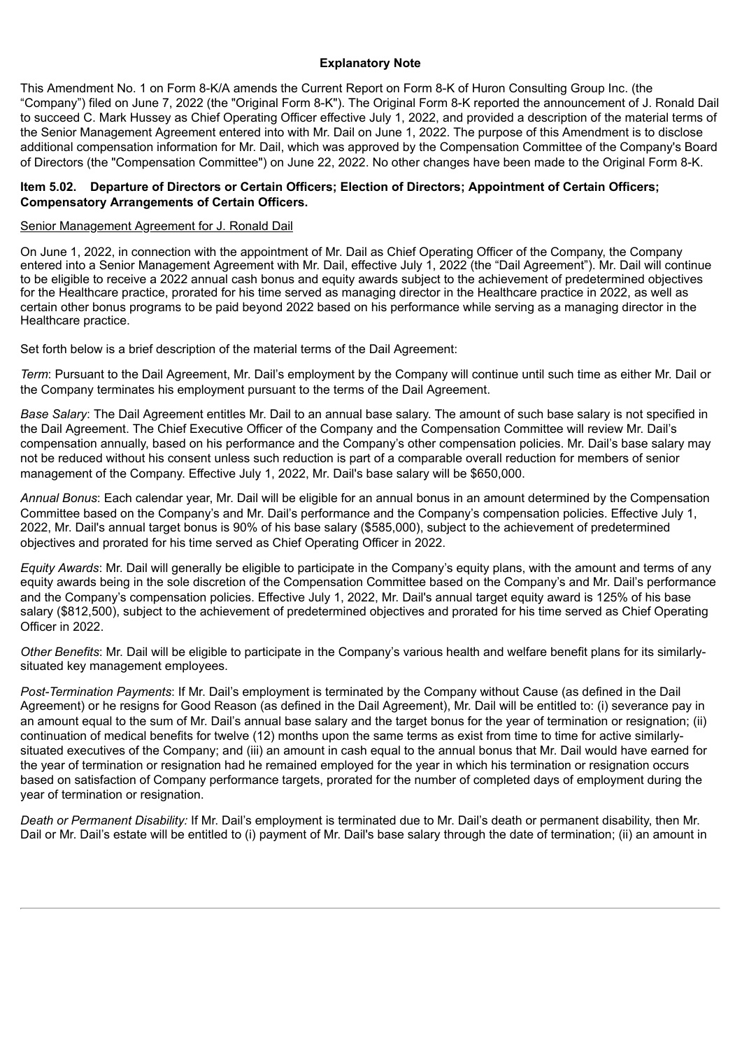#### **Explanatory Note**

This Amendment No. 1 on Form 8-K/A amends the Current Report on Form 8-K of Huron Consulting Group Inc. (the "Company") filed on June 7, 2022 (the "Original Form 8-K"). The Original Form 8-K reported the announcement of J. Ronald Dail to succeed C. Mark Hussey as Chief Operating Officer effective July 1, 2022, and provided a description of the material terms of the Senior Management Agreement entered into with Mr. Dail on June 1, 2022. The purpose of this Amendment is to disclose additional compensation information for Mr. Dail, which was approved by the Compensation Committee of the Company's Board of Directors (the "Compensation Committee") on June 22, 2022. No other changes have been made to the Original Form 8-K.

#### **Item 5.02. Departure of Directors or Certain Officers; Election of Directors; Appointment of Certain Officers; Compensatory Arrangements of Certain Officers.**

#### Senior Management Agreement for J. Ronald Dail

On June 1, 2022, in connection with the appointment of Mr. Dail as Chief Operating Officer of the Company, the Company entered into a Senior Management Agreement with Mr. Dail, effective July 1, 2022 (the "Dail Agreement"). Mr. Dail will continue to be eligible to receive a 2022 annual cash bonus and equity awards subject to the achievement of predetermined objectives for the Healthcare practice, prorated for his time served as managing director in the Healthcare practice in 2022, as well as certain other bonus programs to be paid beyond 2022 based on his performance while serving as a managing director in the Healthcare practice.

Set forth below is a brief description of the material terms of the Dail Agreement:

*Term*: Pursuant to the Dail Agreement, Mr. Dail's employment by the Company will continue until such time as either Mr. Dail or the Company terminates his employment pursuant to the terms of the Dail Agreement.

*Base Salary*: The Dail Agreement entitles Mr. Dail to an annual base salary. The amount of such base salary is not specified in the Dail Agreement. The Chief Executive Officer of the Company and the Compensation Committee will review Mr. Dail's compensation annually, based on his performance and the Company's other compensation policies. Mr. Dail's base salary may not be reduced without his consent unless such reduction is part of a comparable overall reduction for members of senior management of the Company. Effective July 1, 2022, Mr. Dail's base salary will be \$650,000.

*Annual Bonus*: Each calendar year, Mr. Dail will be eligible for an annual bonus in an amount determined by the Compensation Committee based on the Company's and Mr. Dail's performance and the Company's compensation policies. Effective July 1, 2022, Mr. Dail's annual target bonus is 90% of his base salary (\$585,000), subject to the achievement of predetermined objectives and prorated for his time served as Chief Operating Officer in 2022.

*Equity Awards*: Mr. Dail will generally be eligible to participate in the Company's equity plans, with the amount and terms of any equity awards being in the sole discretion of the Compensation Committee based on the Company's and Mr. Dail's performance and the Company's compensation policies. Effective July 1, 2022, Mr. Dail's annual target equity award is 125% of his base salary (\$812,500), subject to the achievement of predetermined objectives and prorated for his time served as Chief Operating Officer in 2022.

*Other Benefits*: Mr. Dail will be eligible to participate in the Company's various health and welfare benefit plans for its similarlysituated key management employees.

*Post-Termination Payments*: If Mr. Dail's employment is terminated by the Company without Cause (as defined in the Dail Agreement) or he resigns for Good Reason (as defined in the Dail Agreement), Mr. Dail will be entitled to: (i) severance pay in an amount equal to the sum of Mr. Dail's annual base salary and the target bonus for the year of termination or resignation; (ii) continuation of medical benefits for twelve (12) months upon the same terms as exist from time to time for active similarlysituated executives of the Company; and (iii) an amount in cash equal to the annual bonus that Mr. Dail would have earned for the year of termination or resignation had he remained employed for the year in which his termination or resignation occurs based on satisfaction of Company performance targets, prorated for the number of completed days of employment during the year of termination or resignation.

*Death or Permanent Disability:* If Mr. Dail's employment is terminated due to Mr. Dail's death or permanent disability, then Mr. Dail or Mr. Dail's estate will be entitled to (i) payment of Mr. Dail's base salary through the date of termination; (ii) an amount in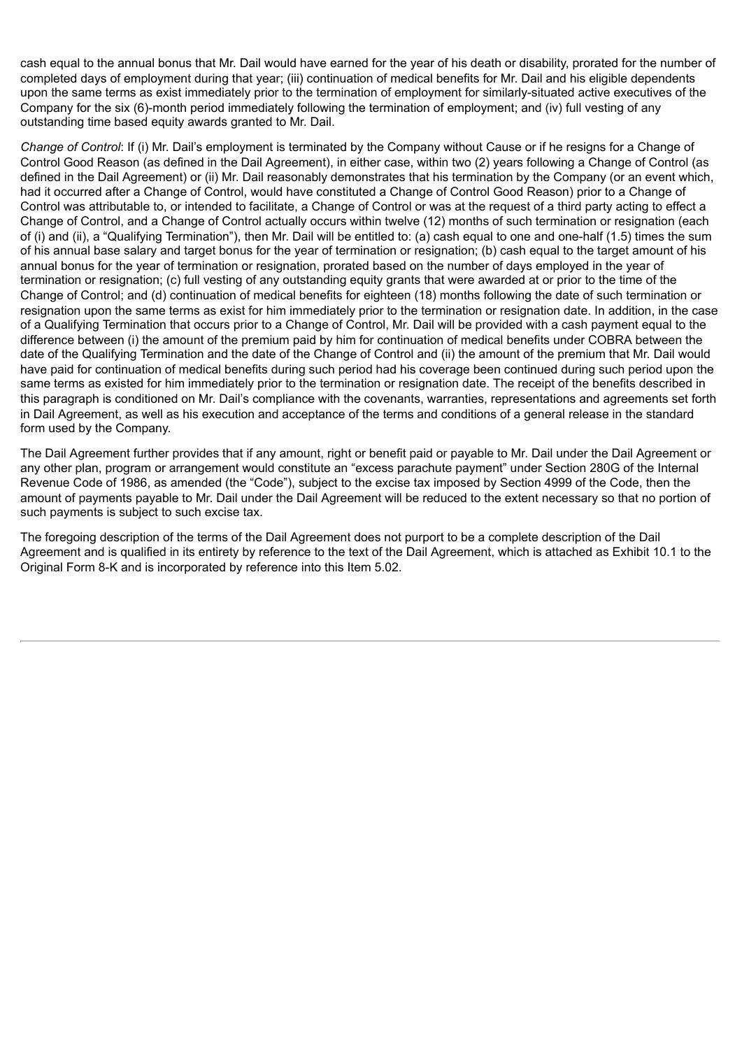cash equal to the annual bonus that Mr. Dail would have earned for the year of his death or disability, prorated for the number of completed days of employment during that year; (iii) continuation of medical benefits for Mr. Dail and his eligible dependents upon the same terms as exist immediately prior to the termination of employment for similarly-situated active executives of the Company for the six (6)-month period immediately following the termination of employment; and (iv) full vesting of any outstanding time based equity awards granted to Mr. Dail.

*Change of Control*: If (i) Mr. Dail's employment is terminated by the Company without Cause or if he resigns for a Change of Control Good Reason (as defined in the Dail Agreement), in either case, within two (2) years following a Change of Control (as defined in the Dail Agreement) or (ii) Mr. Dail reasonably demonstrates that his termination by the Company (or an event which, had it occurred after a Change of Control, would have constituted a Change of Control Good Reason) prior to a Change of Control was attributable to, or intended to facilitate, a Change of Control or was at the request of a third party acting to effect a Change of Control, and a Change of Control actually occurs within twelve (12) months of such termination or resignation (each of (i) and (ii), a "Qualifying Termination"), then Mr. Dail will be entitled to: (a) cash equal to one and one-half (1.5) times the sum of his annual base salary and target bonus for the year of termination or resignation; (b) cash equal to the target amount of his annual bonus for the year of termination or resignation, prorated based on the number of days employed in the year of termination or resignation; (c) full vesting of any outstanding equity grants that were awarded at or prior to the time of the Change of Control; and (d) continuation of medical benefits for eighteen (18) months following the date of such termination or resignation upon the same terms as exist for him immediately prior to the termination or resignation date. In addition, in the case of a Qualifying Termination that occurs prior to a Change of Control, Mr. Dail will be provided with a cash payment equal to the difference between (i) the amount of the premium paid by him for continuation of medical benefits under COBRA between the date of the Qualifying Termination and the date of the Change of Control and (ii) the amount of the premium that Mr. Dail would have paid for continuation of medical benefits during such period had his coverage been continued during such period upon the same terms as existed for him immediately prior to the termination or resignation date. The receipt of the benefits described in this paragraph is conditioned on Mr. Dail's compliance with the covenants, warranties, representations and agreements set forth in Dail Agreement, as well as his execution and acceptance of the terms and conditions of a general release in the standard form used by the Company.

The Dail Agreement further provides that if any amount, right or benefit paid or payable to Mr. Dail under the Dail Agreement or any other plan, program or arrangement would constitute an "excess parachute payment" under Section 280G of the Internal Revenue Code of 1986, as amended (the "Code"), subject to the excise tax imposed by Section 4999 of the Code, then the amount of payments payable to Mr. Dail under the Dail Agreement will be reduced to the extent necessary so that no portion of such payments is subject to such excise tax.

The foregoing description of the terms of the Dail Agreement does not purport to be a complete description of the Dail Agreement and is qualified in its entirety by reference to the text of the Dail Agreement, which is attached as Exhibit 10.1 to the Original Form 8-K and is incorporated by reference into this Item 5.02.